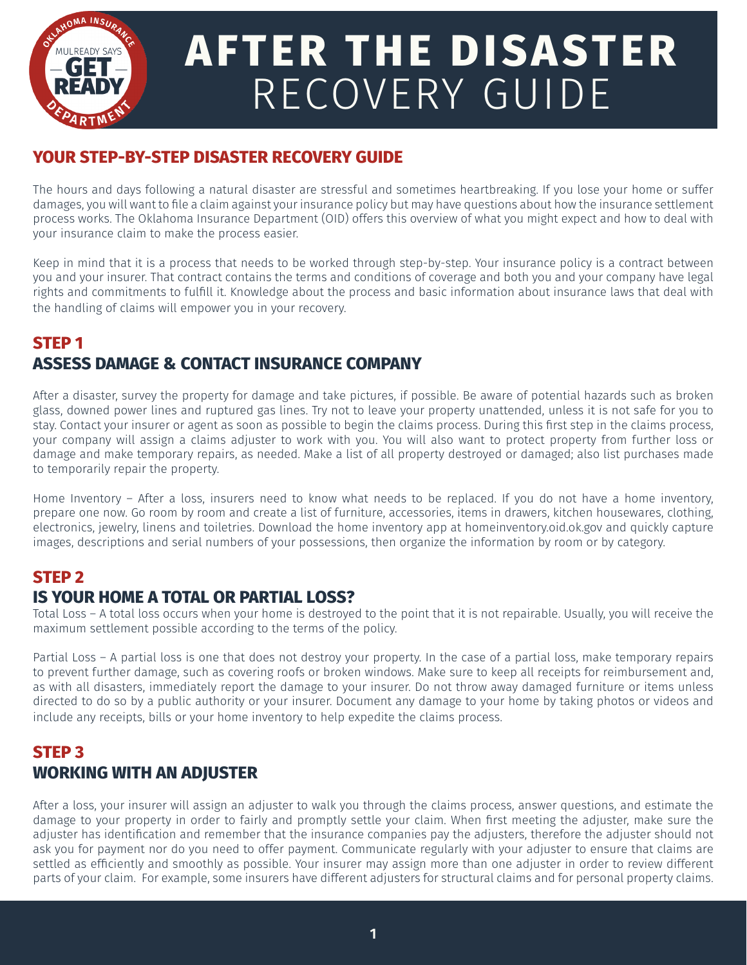

# **AFTER THE DISASTER** RECOVERY GUIDE

## **YOUR STEP-BY-STEP DISASTER RECOVERY GUIDE**

The hours and days following a natural disaster are stressful and sometimes heartbreaking. If you lose your home or suffer damages, you will want to file a claim against your insurance policy but may have questions about how the insurance settlement process works. The Oklahoma Insurance Department (OID) offers this overview of what you might expect and how to deal with your insurance claim to make the process easier.

Keep in mind that it is a process that needs to be worked through step-by-step. Your insurance policy is a contract between you and your insurer. That contract contains the terms and conditions of coverage and both you and your company have legal rights and commitments to fulfill it. Knowledge about the process and basic information about insurance laws that deal with the handling of claims will empower you in your recovery.

# **STEP 1 ASSESS DAMAGE & CONTACT INSURANCE COMPANY**

After a disaster, survey the property for damage and take pictures, if possible. Be aware of potential hazards such as broken glass, downed power lines and ruptured gas lines. Try not to leave your property unattended, unless it is not safe for you to stay. Contact your insurer or agent as soon as possible to begin the claims process. During this first step in the claims process, your company will assign a claims adjuster to work with you. You will also want to protect property from further loss or damage and make temporary repairs, as needed. Make a list of all property destroyed or damaged; also list purchases made to temporarily repair the property.

Home Inventory – After a loss, insurers need to know what needs to be replaced. If you do not have a home inventory, prepare one now. Go room by room and create a list of furniture, accessories, items in drawers, kitchen housewares, clothing, electronics, jewelry, linens and toiletries. Download the home inventory app at homeinventory.oid.ok.gov and quickly capture images, descriptions and serial numbers of your possessions, then organize the information by room or by category.

# **STEP 2**

## **IS YOUR HOME A TOTAL OR PARTIAL LOSS?**

Total Loss – A total loss occurs when your home is destroyed to the point that it is not repairable. Usually, you will receive the maximum settlement possible according to the terms of the policy.

Partial Loss – A partial loss is one that does not destroy your property. In the case of a partial loss, make temporary repairs to prevent further damage, such as covering roofs or broken windows. Make sure to keep all receipts for reimbursement and, as with all disasters, immediately report the damage to your insurer. Do not throw away damaged furniture or items unless directed to do so by a public authority or your insurer. Document any damage to your home by taking photos or videos and include any receipts, bills or your home inventory to help expedite the claims process.

# **STEP 3 WORKING WITH AN ADJUSTER**

After a loss, your insurer will assign an adjuster to walk you through the claims process, answer questions, and estimate the damage to your property in order to fairly and promptly settle your claim. When first meeting the adjuster, make sure the adjuster has identification and remember that the insurance companies pay the adjusters, therefore the adjuster should not ask you for payment nor do you need to offer payment. Communicate regularly with your adjuster to ensure that claims are settled as efficiently and smoothly as possible. Your insurer may assign more than one adjuster in order to review different parts of your claim. For example, some insurers have different adjusters for structural claims and for personal property claims.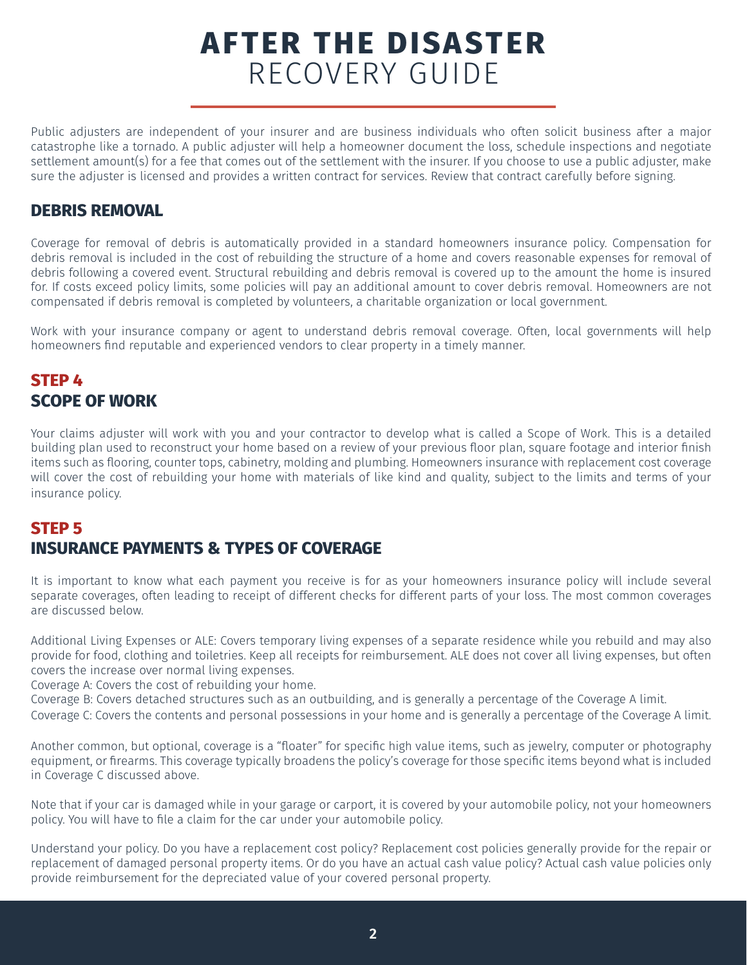# **AFTER THE DISASTER** RECOVERY GUIDE

Public adjusters are independent of your insurer and are business individuals who often solicit business after a major catastrophe like a tornado. A public adjuster will help a homeowner document the loss, schedule inspections and negotiate settlement amount(s) for a fee that comes out of the settlement with the insurer. If you choose to use a public adjuster, make sure the adjuster is licensed and provides a written contract for services. Review that contract carefully before signing.

#### **DEBRIS REMOVAL**

Coverage for removal of debris is automatically provided in a standard homeowners insurance policy. Compensation for debris removal is included in the cost of rebuilding the structure of a home and covers reasonable expenses for removal of debris following a covered event. Structural rebuilding and debris removal is covered up to the amount the home is insured for. If costs exceed policy limits, some policies will pay an additional amount to cover debris removal. Homeowners are not compensated if debris removal is completed by volunteers, a charitable organization or local government.

Work with your insurance company or agent to understand debris removal coverage. Often, local governments will help homeowners find reputable and experienced vendors to clear property in a timely manner.

#### **STEP 4 SCOPE OF WORK**

Your claims adjuster will work with you and your contractor to develop what is called a Scope of Work. This is a detailed building plan used to reconstruct your home based on a review of your previous floor plan, square footage and interior finish items such as flooring, counter tops, cabinetry, molding and plumbing. Homeowners insurance with replacement cost coverage will cover the cost of rebuilding your home with materials of like kind and quality, subject to the limits and terms of your insurance policy.

# **STEP 5 INSURANCE PAYMENTS & TYPES OF COVERAGE**

It is important to know what each payment you receive is for as your homeowners insurance policy will include several separate coverages, often leading to receipt of different checks for different parts of your loss. The most common coverages are discussed below.

Additional Living Expenses or ALE: Covers temporary living expenses of a separate residence while you rebuild and may also provide for food, clothing and toiletries. Keep all receipts for reimbursement. ALE does not cover all living expenses, but often covers the increase over normal living expenses.

Coverage A: Covers the cost of rebuilding your home.

Coverage B: Covers detached structures such as an outbuilding, and is generally a percentage of the Coverage A limit.

Coverage C: Covers the contents and personal possessions in your home and is generally a percentage of the Coverage A limit.

Another common, but optional, coverage is a "floater" for specific high value items, such as jewelry, computer or photography equipment, or firearms. This coverage typically broadens the policy's coverage for those specific items beyond what is included in Coverage C discussed above.

Note that if your car is damaged while in your garage or carport, it is covered by your automobile policy, not your homeowners policy. You will have to file a claim for the car under your automobile policy.

Understand your policy. Do you have a replacement cost policy? Replacement cost policies generally provide for the repair or replacement of damaged personal property items. Or do you have an actual cash value policy? Actual cash value policies only provide reimbursement for the depreciated value of your covered personal property.